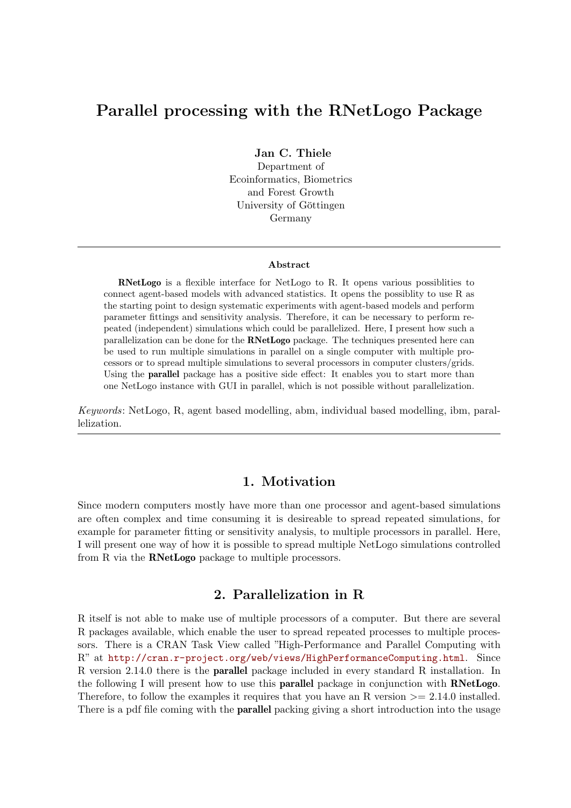# Parallel processing with the RNetLogo Package

Jan C. Thiele

Department of Ecoinformatics, Biometrics and Forest Growth University of Göttingen Germany

#### Abstract

RNetLogo is a flexible interface for NetLogo to R. It opens various possiblities to connect agent-based models with advanced statistics. It opens the possiblity to use R as the starting point to design systematic experiments with agent-based models and perform parameter fittings and sensitivity analysis. Therefore, it can be necessary to perform repeated (independent) simulations which could be parallelized. Here, I present how such a parallelization can be done for the RNetLogo package. The techniques presented here can be used to run multiple simulations in parallel on a single computer with multiple processors or to spread multiple simulations to several processors in computer clusters/grids. Using the **parallel** package has a positive side effect: It enables you to start more than one NetLogo instance with GUI in parallel, which is not possible without parallelization.

Keywords: NetLogo, R, agent based modelling, abm, individual based modelling, ibm, parallelization.

### 1. Motivation

Since modern computers mostly have more than one processor and agent-based simulations are often complex and time consuming it is desireable to spread repeated simulations, for example for parameter fitting or sensitivity analysis, to multiple processors in parallel. Here, I will present one way of how it is possible to spread multiple NetLogo simulations controlled from R via the RNetLogo package to multiple processors.

# 2. Parallelization in R

R itself is not able to make use of multiple processors of a computer. But there are several R packages available, which enable the user to spread repeated processes to multiple processors. There is a CRAN Task View called "High-Performance and Parallel Computing with R" at <http://cran.r-project.org/web/views/HighPerformanceComputing.html>. Since R version 2.14.0 there is the parallel package included in every standard R installation. In the following I will present how to use this parallel package in conjunction with RNetLogo. Therefore, to follow the examples it requires that you have an R version  $\geq$  2.14.0 installed. There is a pdf file coming with the **parallel** packing giving a short introduction into the usage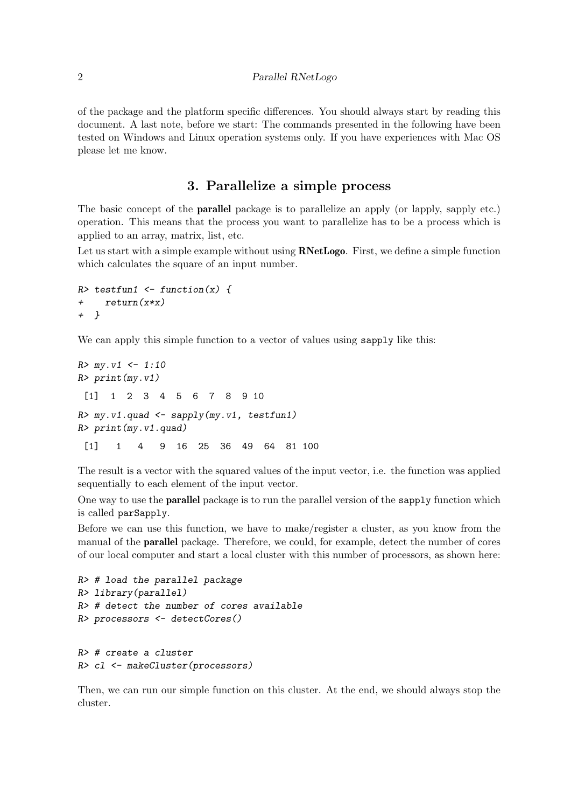#### 2 Parallel RNetLogo

of the package and the platform specific differences. You should always start by reading this document. A last note, before we start: The commands presented in the following have been tested on Windows and Linux operation systems only. If you have experiences with Mac OS please let me know.

### 3. Parallelize a simple process

The basic concept of the parallel package is to parallelize an apply (or lapply, sapply etc.) operation. This means that the process you want to parallelize has to be a process which is applied to an array, matrix, list, etc.

Let us start with a simple example without using **RNetLogo**. First, we define a simple function which calculates the square of an input number.

```
R> testfun1 <- function(x) {
+ return(x*x)
+ }
```
We can apply this simple function to a vector of values using sapply like this:

```
R > my.v1 \le -1:10R> print(my.v1)
 [1] 1 2 3 4 5 6 7 8 9 10
R > my.v1.quad \leftarrow sapply(my.v1, testfun1)
R> print(my.v1.quad)
 [1] 1 4 9 16 25 36 49 64 81 100
```
The result is a vector with the squared values of the input vector, i.e. the function was applied sequentially to each element of the input vector.

One way to use the **parallel** package is to run the parallel version of the **sapply** function which is called parSapply.

Before we can use this function, we have to make/register a cluster, as you know from the manual of the parallel package. Therefore, we could, for example, detect the number of cores of our local computer and start a local cluster with this number of processors, as shown here:

```
R> # load the parallel package
R> library(parallel)
R> # detect the number of cores available
R> processors <- detectCores()
```

```
R> # create a cluster
R> cl <- makeCluster(processors)
```
Then, we can run our simple function on this cluster. At the end, we should always stop the cluster.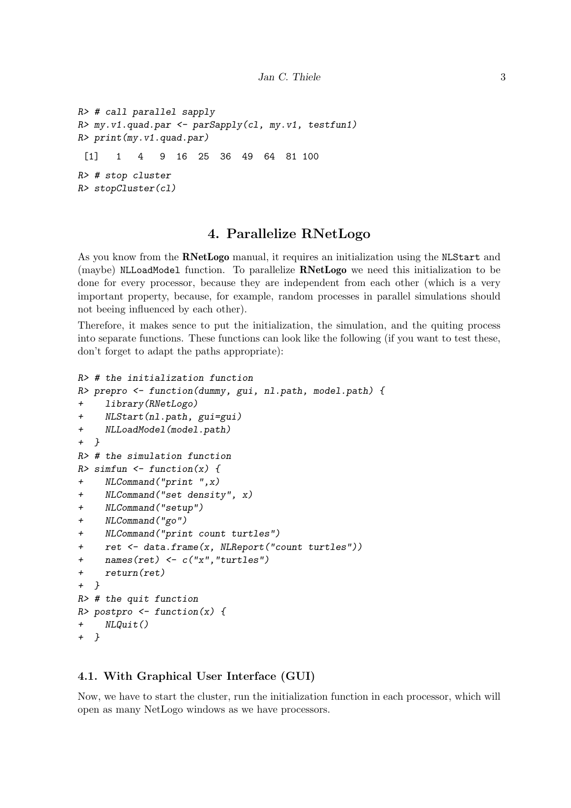```
R> # call parallel sapply
R> my.v1.quad.par <- parSapply(cl, my.v1, testfun1)
R> print(my.v1.quad.par)
 [1] 1 4 9 16 25 36 49 64 81 100
R> # stop cluster
R> stopCluster(cl)
```
### 4. Parallelize RNetLogo

As you know from the RNetLogo manual, it requires an initialization using the NLStart and (maybe) NLLoadModel function. To parallelize RNetLogo we need this initialization to be done for every processor, because they are independent from each other (which is a very important property, because, for example, random processes in parallel simulations should not beeing influenced by each other).

Therefore, it makes sence to put the initialization, the simulation, and the quiting process into separate functions. These functions can look like the following (if you want to test these, don't forget to adapt the paths appropriate):

```
R> # the initialization function
R> prepro <- function(dummy, gui, nl.path, model.path) {
+ library(RNetLogo)
+ NLStart(nl.path, gui=gui)
+ NLLoadModel(model.path)
+ }
R> # the simulation function
R> simfun \leq function(x) {
+ NLCommand("print ",x)
+ NLCommand("set density", x)
+ NLCommand("setup")
+ NLCommand("go")
+ NLCommand("print count turtles")
+ ret <- data.frame(x, NLReport("count turtles"))
+ names(ret) <- c("x","turtles")
+ return(ret)
+ }
R> # the quit function
R> postpro <- function(x) {
+ NLQuit()
+ }
```
#### 4.1. With Graphical User Interface (GUI)

Now, we have to start the cluster, run the initialization function in each processor, which will open as many NetLogo windows as we have processors.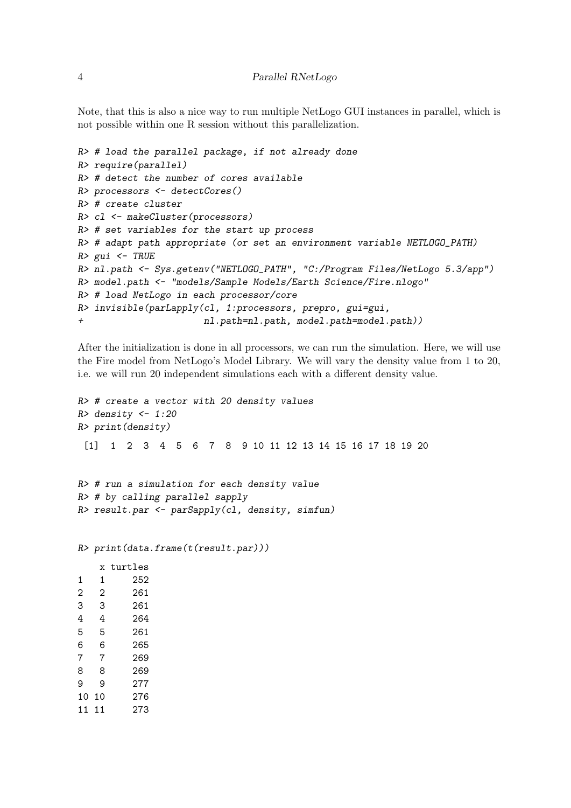Note, that this is also a nice way to run multiple NetLogo GUI instances in parallel, which is not possible within one R session without this parallelization.

```
R> # load the parallel package, if not already done
R> require(parallel)
R> # detect the number of cores available
R> processors <- detectCores()
R> # create cluster
R> cl <- makeCluster(processors)
R> # set variables for the start up process
R> # adapt path appropriate (or set an environment variable NETLOGO_PATH)
R > gui \leftarrow TRUER> nl.path <- Sys.getenv("NETLOGO_PATH", "C:/Program Files/NetLogo 5.3/app")
R> model.path <- "models/Sample Models/Earth Science/Fire.nlogo"
R> # load NetLogo in each processor/core
R> invisible(parLapply(cl, 1:processors, prepro, gui=gui,
+ nl.path=nl.path, model.path=model.path))
```
After the initialization is done in all processors, we can run the simulation. Here, we will use the Fire model from NetLogo's Model Library. We will vary the density value from 1 to 20, i.e. we will run 20 independent simulations each with a different density value.

```
R> # create a vector with 20 density values
R> density <- 1:20
R> print(density)
 [1] 1 2 3 4 5 6 7 8 9 10 11 12 13 14 15 16 17 18 19 20
R> # run a simulation for each density value
R> # by calling parallel sapply
R> result.par <- parSapply(cl, density, simfun)
R> print(data.frame(t(result.par)))
   x turtles
1 1 252
2 2 261
3 3 261
4 4 264
5 5 261
6 6 265
7 7 269
8 8 269
9 9 277
10 10 276
11 11 273
```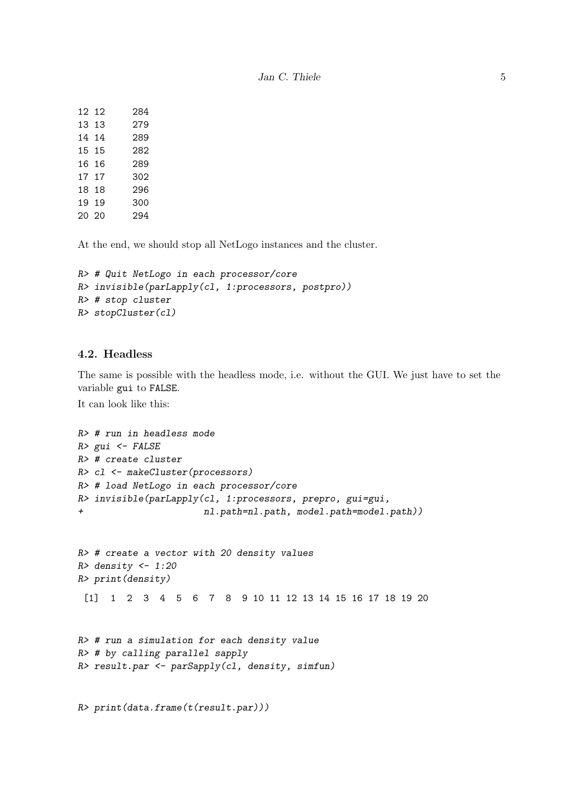| 12 12 | 284 |
|-------|-----|
| 13 13 | 279 |
| 14 14 | 289 |
| 15 15 | 282 |
| 16 16 | 289 |
| 17 17 | 302 |
| 18 18 | 296 |
| 19 19 | 300 |
| 20 20 | 294 |
|       |     |

At the end, we should stop all NetLogo instances and the cluster.

```
R> # Quit NetLogo in each processor/core
R> invisible(parLapply(cl, 1:processors, postpro))
R> # stop cluster
R> stopCluster(cl)
```
### 4.2. Headless

The same is possible with the headless mode, i.e. without the GUI. We just have to set the variable gui to FALSE.

It can look like this:

```
R> # run in headless mode
R> gui <- FALSE
R> # create cluster
R> cl <- makeCluster(processors)
R> # load NetLogo in each processor/core
R> invisible(parLapply(cl, 1:processors, prepro, gui=gui,
+ nl.path=nl.path, model.path=model.path))
R> # create a vector with 20 density values
R> density <- 1:20
R> print(density)
 [1] 1 2 3 4 5 6 7 8 9 10 11 12 13 14 15 16 17 18 19 20
R> # run a simulation for each density value
R> # by calling parallel sapply
R> result.par <- parSapply(cl, density, simfun)
R> print(data.frame(t(result.par)))
```